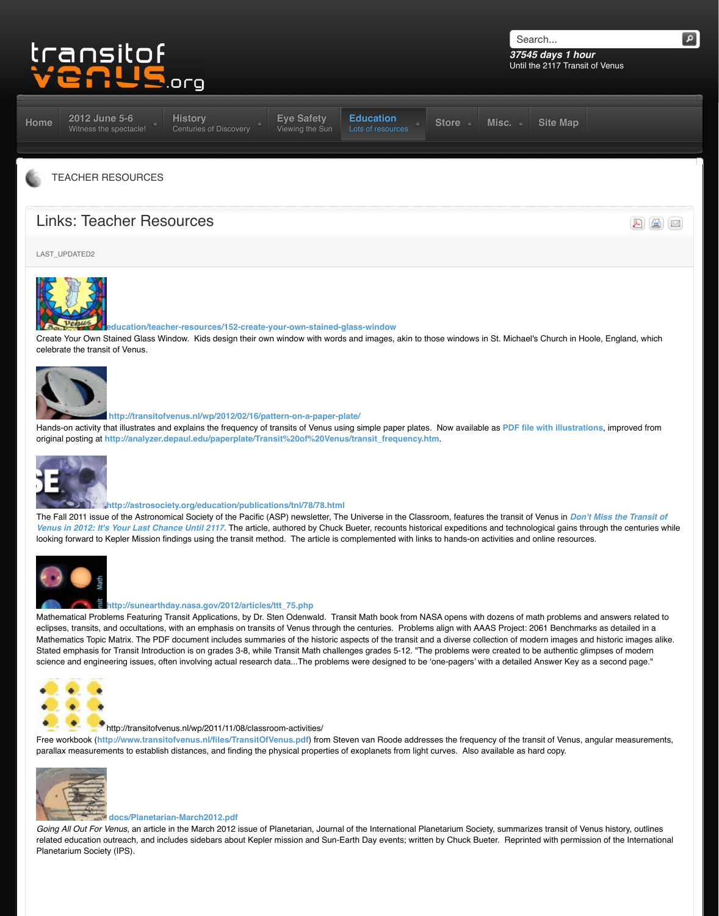

### **http://transitofvenus.nl/wp/2012/02/16/pattern-on-a-paper-plate/**

Hands-on activity that illustrates and explains the frequency of transits of Venus using simple paper plates original posting at http://analyzer.depaul.edu/paperplate/Transit%20of%20Venus/transit\_frequency.h



# **http://astrosociety.org/education/publications/tnl/78/78.html**

The Fall 2011 issue of the Astronomical Society of the Pacific (ASP) newsletter, The Universe in the Class *Venus in 2012: It's Your Last Chance Until 2117.* The article, authored by Chuck Bueter, recounts histor looking forward to Kepler Mission findings using the transit method. The article is complemented with link



# **http://sunearthday.nasa.gov/2012/articles/ttt\_75.php**

Mathematical Problems Featuring Transit Applications, by Dr. Sten Odenwald. Transit Math book from NA eclipses, transits, and occultations, with an emphasis on transits of Venus through the centuries. Problem Mathematics Topic Matrix. The PDF document includes summaries of the historic aspects of the transit an [Stated emphasis for Transit Introduction is on grades 3-8, while Transit Math challenges grades 5](http://www.transitofvenus.org/education/teacher-resources/152-create-your-own-stained-glass-window)-12. "The science and engineering issues, often involving actual research data...The problems were designed to be



# http://transitofvenus.nl/wp/2011/11/08/classroom-activities/

Free workbook (http://www.transitofvenus.nl/files/TransitOfVenus.pdf) from Steven van Roode addres [parallax measureme](http://transitofvenus.nl/wp/2012/02/16/pattern-on-a-paper-plate/)nts to establish distances, and finding the physical properties of exoplanets from light



# **docs/Planetarian-March2012.pdf**

*[Going All Out For V](http://www.transitofvenus.org/education/teacher-resources/172-links-teacher-resources)enus*, an article in the March 2012 issue of Planetarian, Journal of the International Pla related education outreach, and includes sidebars about Kepler mission and Sun-Earth Day events; writte Planetarium Society (IPS).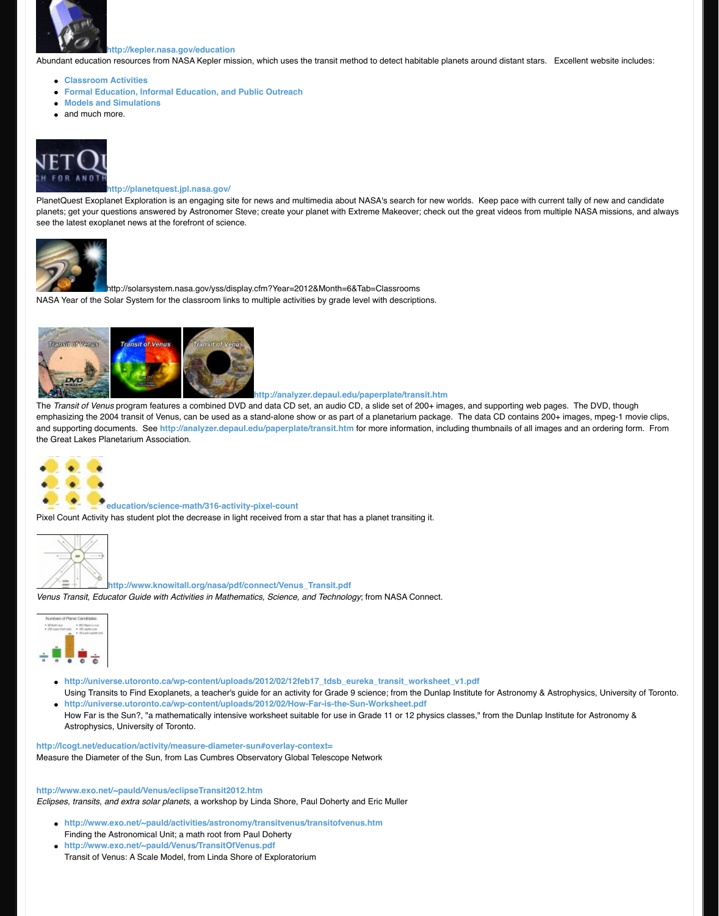

http://analyzer.depaul.edu/paperplate/transit

The *[Transit of Venu](http://kepler.nasa.gov/education/)s* [program features a combined DV](http://kepler.nasa.gov/education)D and data CD set, an audio CD, a slide set of 200 emphasizing the 2004 transit of Venus, can be used as a stand-alone show or as part of a planetarium pa and supporting documents. See http://analyzer.depaul.edu/paperplate/transit.htm for more information the Gr[eat Lakes Planetarium A](http://kepler.nasa.gov/education/activities/)ssociation.



#### **education/science-math/316-activity-pixel-count**

[Pixel Count Activity](http://www.transitofvenus.org/education/teacher-resources/172-links-teacher-resources) has student plot the decrease in light received from a star that has a planet transiting i



#### **http://www.knowitall.org/nasa/pdf/connect/Venus\_Transit.pdf**

*[Venus Transit, Edu](http://www.transitofvenus.org/education/teacher-resources/172-links-teacher-resources)cator Guide with Activities in Mathematics, Science, and Technology*; from NASA Conn



- http://universe.utoronto.ca/wp-content/uploads/2012/02/12feb17\_tdsb\_eureka\_transit\_work Using Transits to Find Exoplanets, a teacher's guide for an activity for Grade 9 science; from the D
- **http://universe.utoronto.ca/wp-content/uploads/2012/02/How-Far-is-the-Sun-Worksheet.pdf** How Far is the Sun?, "a mathematically intensive worksheet suitable for use in Grade 11 or 12 phy Astrophysics, University of Toronto.

#### **http://lcogt.net/education/activity/measure-diameter-sun#overlay-context=**

Measure the Diameter of the Sun, from Las Cumbres Observatory Global Telescope Network

#### **http://www.exo.net/~pauld/Ven[us/eclipseTransit2012.htm](http://analyzer.depaul.edu/paperplate/transit.htm)**

*Eclipses, transits, and extra solar planets*, a workshop by Linda Shore, Paul Doherty and Eric Muller

- **[http://www](http://www.transitofvenus.org/education/teacher-resources/172-links-teacher-resources).exo.net/~pauld/activities/astronomy/transitvenus/transitofvenus.htm** Finding the Astronomical Unit; a math root from Paul Doherty
- **http://www.exo.net/~pauld/Venus/TransitOfVenus.pdf** Transit of Venus: A Scale Model, from Linda Shore of Exploratorium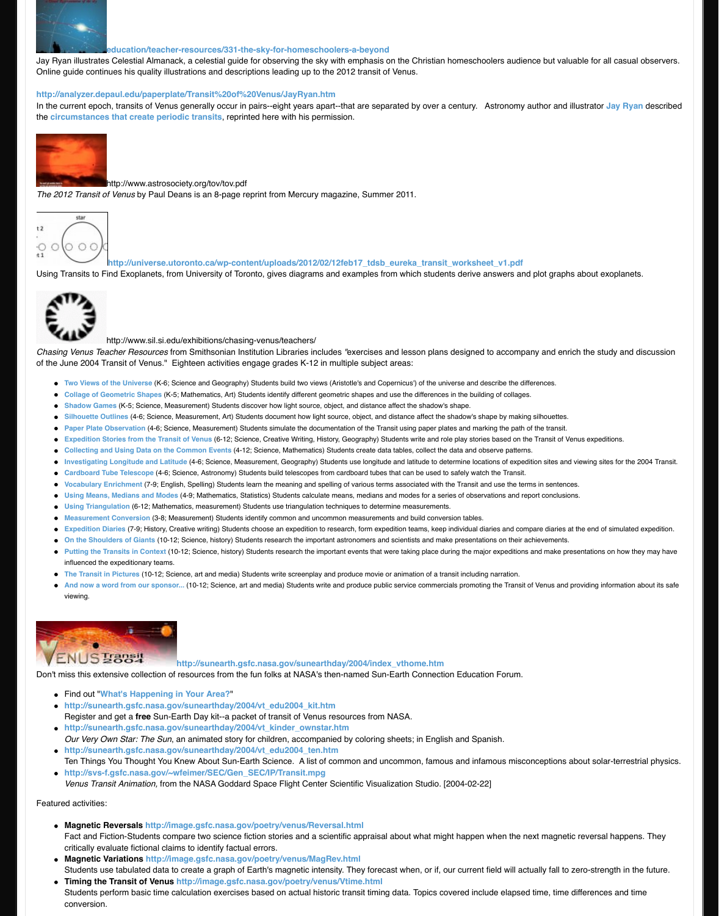[of the June 2004 T](http://www.transitofvenus.org/education/teacher-resources/172-links-teacher-resources)ransit of Venus." Eighteen activities engage grades K-12 in multiple subject areas:

- **Two Views of the Universe** (K-6; Science and Geography) Students build two views (Aristotle's and Copernicus') of t
- Collage of Geometric Shapes (K-5; Mathematics, Art) Students identify different geometric shapes and use the differences in the building of Collage of Geometric Shapes.
- **Shadow Games** [\(K-5; Science, Measurement\) Students discover how light source, object, and distance a](http://www.transitofvenus.org/education/teacher-resources/331-the-sky-for-homeschoolers-a-beyond)ffect the sha
- **Silhouette Outlines** (4-6; Science, Measurement, Art) Students document how light source, object, and distance affect the shadow's shall sidence affect the shadow's shall sidence affect the shadow's shall sidence affect t
- **Paper Plate Observation** (4-6; Science, Measurement) Students simulate the documentation of the Transit using pap
- **Expedition Stories from the Transit of Venus (6-12; Science, Creative Writing, History, Geography) Students write a**
- [Collecting and Using Data on the Common Events](http://analyzer.depaul.edu/paperplate/Transit%20of%20Venus/JayRyan.htm) (4-12; Science, Mathematics) Students create data tables, colle
- **Investigating Longitude and Latitude** (4-6; Science, Measurement, Geography) Students use longitude and latitude
- [Cardboard Tube Telescope](http://analyzer.depaul.edu/paperplate/Transit%20of%20Venus/JayRyan.htm) (4-6; Science, Astronomy) Students build telescopes from cardboard tubes that can be u
- **Vocabulary Enrichment (7-9; English, Spelling) Students learn the meaning and spelling of various terms associated**
- **Using Means, Medians and Modes** (4-9; Mathematics, Statistics) Students calculate means, medians and modes for
- **[Using Triang](http://www.transitofvenus.org/education/teacher-resources/172-links-teacher-resources)ulation** (6-12; Mathematics, measurement) Students use triangulation techniques to determine measure
- **Measurement Conversion (3-8; Measurement) Students identify common and uncommon measurements and build only that**
- **Expedition Diaries** (7-9; History, Creative writing) Students choose an expedition to research, form expedition teams, **On the Shoulders of Giants** (10-12; Science, history) Students research the important astronomers and scientists and
- **Putting the Transits in Context (10-12; Science, history) Students research the important events that were taking pla** influenced the expeditionary teams.
- **The Transit in Pictures** (10-12; Science, art and media) Students write screenplay and produce movie or animation c
- **[And now a w](http://www.transitofvenus.org/education/teacher-resources/172-links-teacher-resources)ord from our sponsor...** (10-12; Science, art and media) Students write and produce public service con viewing.



# http://sunearth.gsfc.nasa.gov/sunearthday/2004/index\_vthome.

[Don't miss this exte](http://www.transitofvenus.org/education/teacher-resources/172-links-teacher-resources)nsive collection of resources from the fun folks at NASA's then-named Sun-Earth Connection

- Find out "**What's Happening in Your Area?**"
- **http://sunearth.gsfc.nasa.gov/sunearthday/2004/vt\_edu2004\_kit.htm** Register and get a **free** Sun-Earth Day kit--a packet of transit of Venus resources from NASA.
- **http://sunearth.gsfc.nasa.gov/sunearthday/2004/vt\_kinder\_ownstar.htm** *[Our Very Own Star: The](http://www.sil.si.edu/exhibitions/chasing-venus/teachers/lessonplan1.htm) Sun*, an animated story for children, accompanied by coloring sheets; in E
- **[http://sunearth.gsfc.nasa](http://www.sil.si.edu/exhibitions/chasing-venus/teachers/lessonplan2.htm).gov/sunearthday/2004/vt\_edu2004\_ten.htm** [Ten Things Yo](http://www.sil.si.edu/exhibitions/chasing-venus/teachers/lessonplan3.htm)u Thought You Knew About Sun-Earth Science. A list of common and uncommon, f
- **[http://svs-f.gsfc.](http://www.sil.si.edu/exhibitions/chasing-venus/teachers/lessonplan4.htm)nasa.gov/~wfeimer/SEC/Gen\_SEC/IP/Transit.mpg** *[Venus Transit Animatio](http://www.sil.si.edu/exhibitions/chasing-venus/teachers/lessonplan5.htm)n,* from the NASA Goddard Space Flight Center Scientific Visualization Studio.

Featur[ed activities:](http://www.sil.si.edu/exhibitions/chasing-venus/teachers/lessonplan6.htm)

- **[Magnetic Reversals http://imag](http://www.sil.si.edu/exhibitions/chasing-venus/teachers/lessonplan8.htm)e.gsfc.nasa.gov/poetry/venus/Reversal.html** [Fact and Fiction-Student](http://www.sil.si.edu/exhibitions/chasing-venus/teachers/lessonplan9.htm)s compare two science fiction stories and a scientific appraisal about wha [critically evaluate fict](http://www.sil.si.edu/exhibitions/chasing-venus/teachers/vocquiz.html)ional claims to identify factual errors.
- **[Magnetic Variations http://im](http://www.sil.si.edu/exhibitions/chasing-venus/teachers/lessonplan10.htm)age.gsfc.nasa.gov/poetry/venus/MagRev.html** [Students use tabu](http://www.sil.si.edu/exhibitions/chasing-venus/teachers/lessonplan11.htm)lated data to create a graph of Earth's magnetic intensity. They forecast when, or
- **[Timing the Transit of V](http://www.sil.si.edu/exhibitions/chasing-venus/teachers/lessonplan12.htm)enus http://image.gsfc.nasa.gov/poetry/venus/Vtime.html** [Students perform](http://www.sil.si.edu/exhibitions/chasing-venus/teachers/lessonplan13.htm) basic time calculation exercises based on actual historic transit timing data. Topi [conversion.](http://www.sil.si.edu/exhibitions/chasing-venus/teachers/lessonplan14.htm)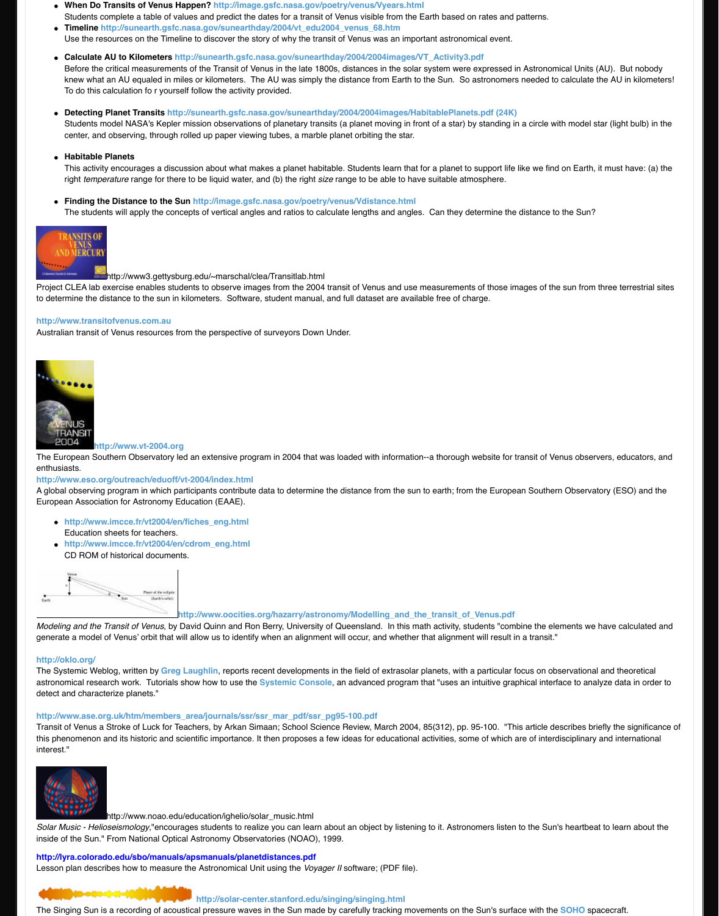

**http://www.vt-2004.org**

The European Southern Observatory led an extensive program in 2004 that was loaded with information-enthusiasts.

**http://www.eso.org/outreach/ed[uoff/vt-2004/index.html](http://sunearth.gsfc.nasa.gov/sunearthday/2004/2004images/HabitablePlanets.pdf)**

A global observing program in which participants contribute data to determine the distance from the sun to European Association for Astronomy Education (EAAE).

- **http://www.imcce.fr/vt2004/en/fiches\_eng.html** Education sheets for teachers.
- **http://www.imcce.fr/vt2004/en/cdrom\_eng.html** CD ROM of historical documents.



http://www.oocities.org/hazarry/astronomy/Modelling\_and\_the

*[Modeling and the T](http://www.transitofvenus.org/education/teacher-resources/172-links-teacher-resources)ransit of Venus*, by David Quinn and Ron Berry, University of Queensland. In this math generate a model of Venus' orbit that will allow us to identify when an alignment will occur, and whether th

# **http://oklo.org/**

The Systemic Weblog, written by Greg Laughlin, reports recent developments in the field of extrasolar planety [astronomical research work. Tutoria](http://www.transitofvenus.com.au/)ls show how to use the **Systemic Console**, an advanced program the detect and characterize planets."

# **http://www.ase.org.uk/htm/members\_area/journals/ssr/ssr\_mar\_pdf/ssr\_pg95-100.pdf**

[Transit of Venus](http://www.eso.org/outreach/eduoff/vt-2004/index.html) a Stroke of Luck for Teachers, by Arkan Simaan; School Science Review, March 2004, 8 this phenomenon and its historic and scientific importance. It then proposes a few ideas for educational ad interest."



http://www.noao.edu/education/ighelio/solar\_music.html

*Solar Music - Helioseismology*,"encourages students to realize you can learn about an object by listening [inside of the Sun." From National Optical Astronomy Obse](http://www.eso.org/outreach/eduoff/vt-2004/index.html)rvatories (NOAO), 1999.

# **http://lyra.colorado.edu/sbo/manuals/apsmanuals/planetdistances.pdf**

Lesson plan describes how to measure the Astronomical Unit using the *Voyager II* software; (PDF file).



# **http://solar-center.stanford.edu/singing/singing.html**

The Si[nging Sun is a recording of acoustical pressure wav](http://www.imcce.fr/vt2004/en/cdrom_eng.html)es in the Sun made by carefully tracking moven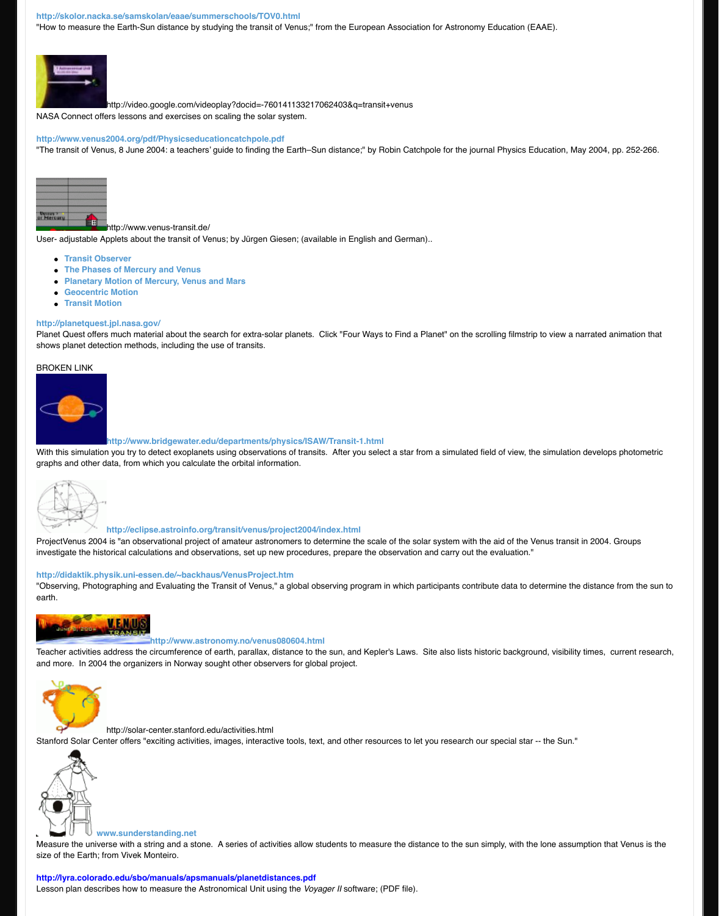#### [BROKEN LINK](http://skolor.nacka.se/samskolan/eaae/summerschools/TOV0.html)



# **http://www.bridgewater.edu/departments/physics/ISAW/Transit-1.html**

[With this simulation](http://www.transitofvenus.org/education/teacher-resources/172-links-teacher-resources) you try to detect exoplanets using observations of transits. After you select a star fror graphs and other data, from which you calculate the orbital information.



# **http://eclipse.astroinfo.org/transit/venus/project2004/index.html**

ProjectVenus 2004 is "an observational project of amateur astronomers to determine the scale of the sola [investigate the hist](http://www.transitofvenus.org/education/teacher-resources/172-links-teacher-resources)orical calculations and observations, set up new procedures, prepare the observation a

# **http://didaktik.physik.uni-essen.de/~backhaus/VenusProject.htm**

"Observing, Photographing and Evaluating the Transit of Venus," a global observing program in which par earth.



# **[http://www.astronomy.no](http://www.venus-transit.de/PlanetMotion/index.html)/venus080604.html**

Teache[r activities address th](http://www.venus-transit.de/geocentric/index.html)e circumference of earth, parallax, distance to the sun, and Kepler's Laws. S and m[ore. In 2004 the](http://www.venus-transit.de/TransitMotion/index.htm) organizers in Norway sought other observers for global project.



http://solar-center.stanford.edu/activities.html

[Stanford Solar Cen](http://www.bridgewater.edu/departments/physics/ISAW/Transit-1.html)ter offers "exciting activities, images, interactive tools, text, and other resources to let y



#### **www.sunderstanding.net**

Measure the universe with a string and a stone. A series of activities allow students to measure the distar [size of the Earth; fr](http://www.transitofvenus.org/education/teacher-resources/172-links-teacher-resources)om Vivek Monteiro.

# **http://lyra.colorado.edu/sbo/manuals/apsmanuals/planetdistances.pdf**

Lesson plan descr[ibes how to measure the Astronomical Unit using the](http://eclipse.astroinfo.org/transit/venus/project2004/index.html) *Voyager II* software; (PDF file).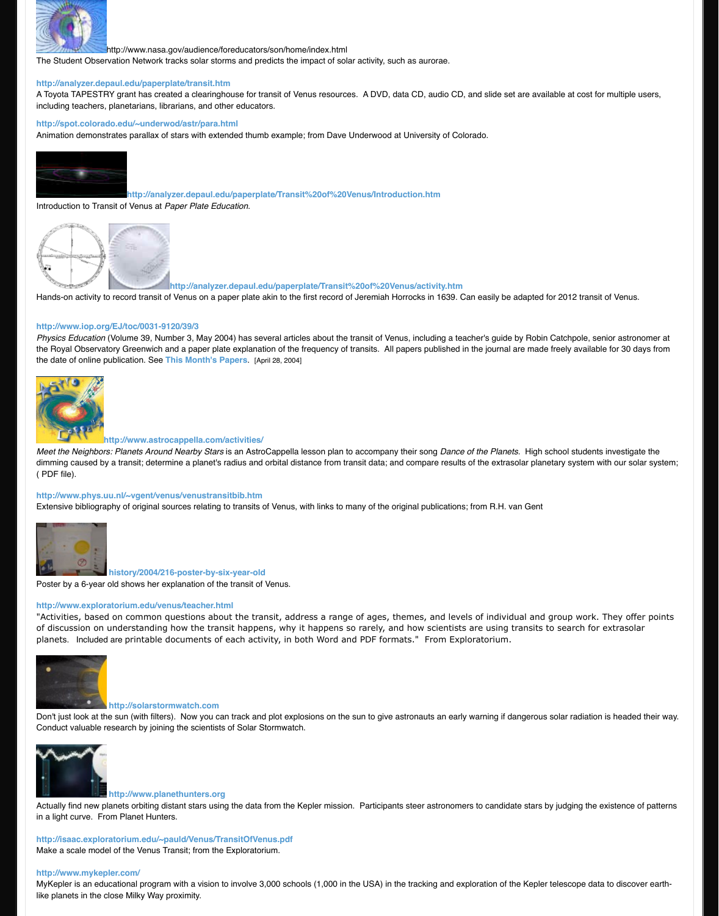[the date of online p](http://www.transitofvenus.org/education/teacher-resources/172-links-teacher-resources)ublication. See **This Month's Papers**. [April 28, 2004]



**[http://www.astrocappella.com/ac](http://analyzer.depaul.edu/paperplate/transit.htm)tivities/**

*Meet the Neighbors: Planets Around Nearby Stars* is an AstroCappella lesson plan to accompany their so dimming caused by a transit; determine a planet's radius and orbital distance from transit data; and compa ( PDF file).

#### **http://www.phys.uu.nl/~vgent/venus/venustransitbib.htm**

Extensive bibliography of original sources relating to transits of Venus, with links to many of the original pu



### **history/2004/216-poster-by-six-year-old**

Poster by a 6-year old shows her explanation of the transit of Venus.

#### **http://www.exploratorium.edu/venus/teacher.html**

"Activities, based on common questions about the transit, address a range of ages, themes, of discussion on understanding how the transit happens, why it happens so rarely, and how s planets. Included are printable documents of each activity, in both Word and PDF formats." F



#### **http://solarstormwatch.com**

Don't just look at the sun (with filte[rs\). Now you can track](http://www.iop.org/EJ/toc/-ff30=all/-ffissn=0031-9120) and plot explosions on the sun to give astronaut Conduct valuable research by joining the scientists of Solar Stormwatch.



## **http://www.planethunters.org**

[Actually find new planets orbiting distant stars using the data](http://www.astrocappella.com/activities/) from the Kepler mission. Participants steer aste in a light curve. From Planet Hunters.

**http://isaac.exploratorium.edu/~pauld/Venus/TransitOfVenus.pdf** [Make a scale model of the Venus Transit; from the Explorator](http://www.phys.uu.nl/%7Evgent/venus/venustransitbib.htm)ium.

#### **http://www.mykepler.com/**

MyKepler is an educational program with a vision to involve 3,000 schools (1,000 in the USA) in the tracki [like planets in the c](http://www.transitofvenus.org/education/teacher-resources/172-links-teacher-resources)lose Milky Way proximity.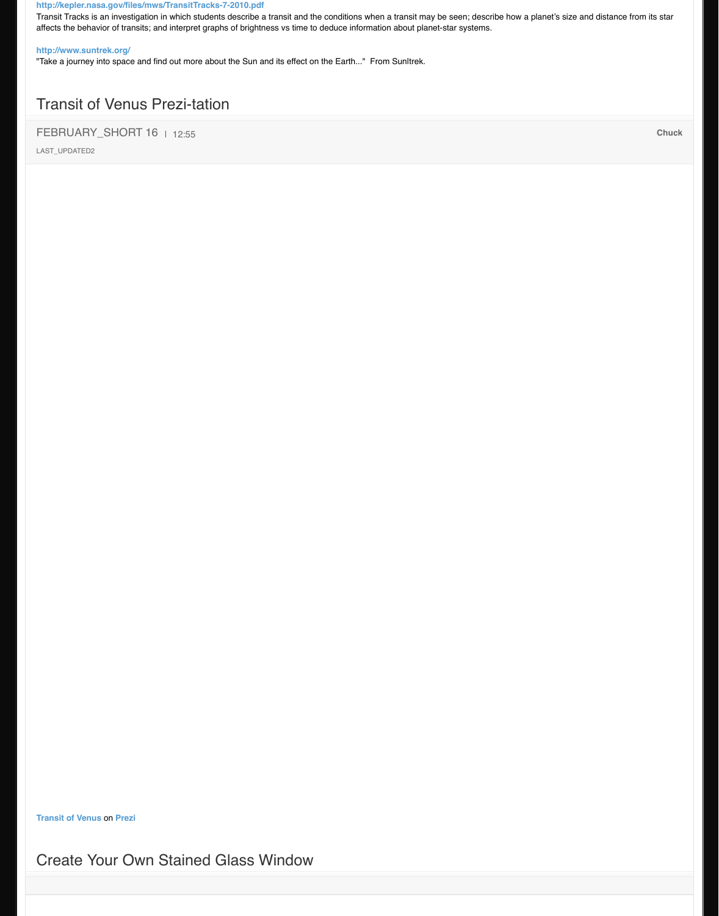**Transit of Venus** on **Prezi**

# Create Your Own Stained Glass Window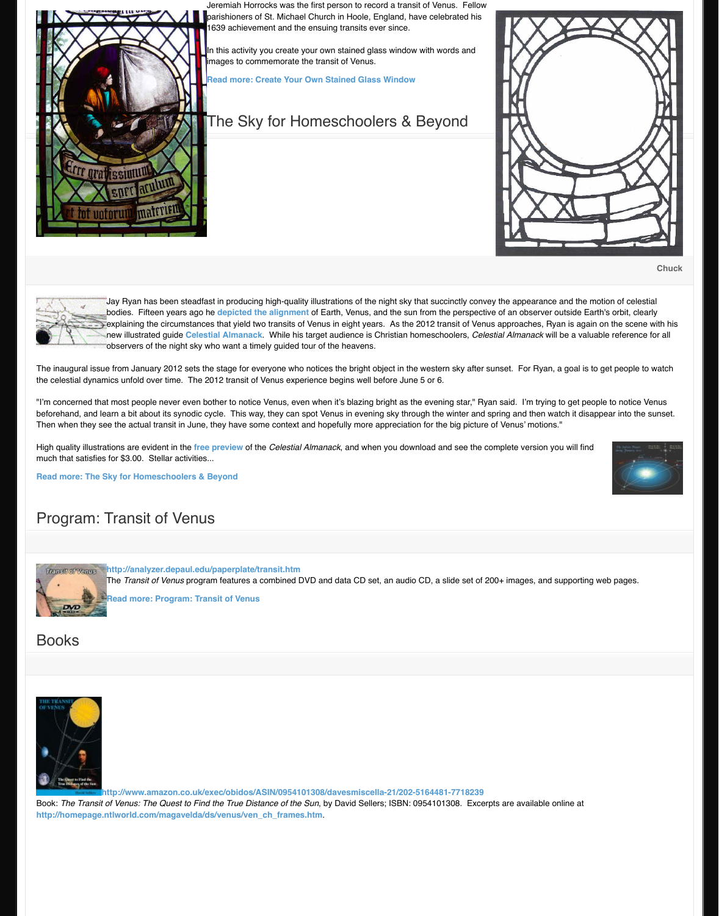The inaugural issue from January 2012 sets the stage for everyone who notices the bright object in the we the celestial dynamics unfold over time. The 2012 transit of Venus experience begins well before June 5 or

"I'm concerned that most people never even bother to notice Venus, even when it's blazing bright as the e beforehand, and learn a bit about its synodic cycle. This way, they can spot Venus in evening sky through Then when they see the actual transit in June, they have some context and hopefully more appreciation for

High quality illustrations are evident in the *free preview* of the *Celestial Almanack*[, and when you dow](http://www.transitofvenus.org/education/teacher-resources/152-create-your-own-stained-glass-window)nload much that satisfies for \$3.00. Stellar activities...

**Read more: The Sky for Homeschoolers & Beyond**

# Program: Transit of Venus



**http://analyzer.depaul.edu/paperplate/transit.htm**

The *Transit of Venus* program features a combined DVD and data CD set, an audio CD

**Read more: Program: Transit of Venus**

# Books



http://www.amazon.co.uk/exec/obidos/ASIN/0954101308/davesmiscella-21/202-516 Book: *The Transit of Venus: The Quest to [Find the True](http://www.currclick.com/product_info.php?products_id=66577) Distance of the Sun, by David Sellers; ISBN: 0954* **http://homepage.ntlworld.com/magavelda/ds/venus/ven\_ch\_frames.htm**.